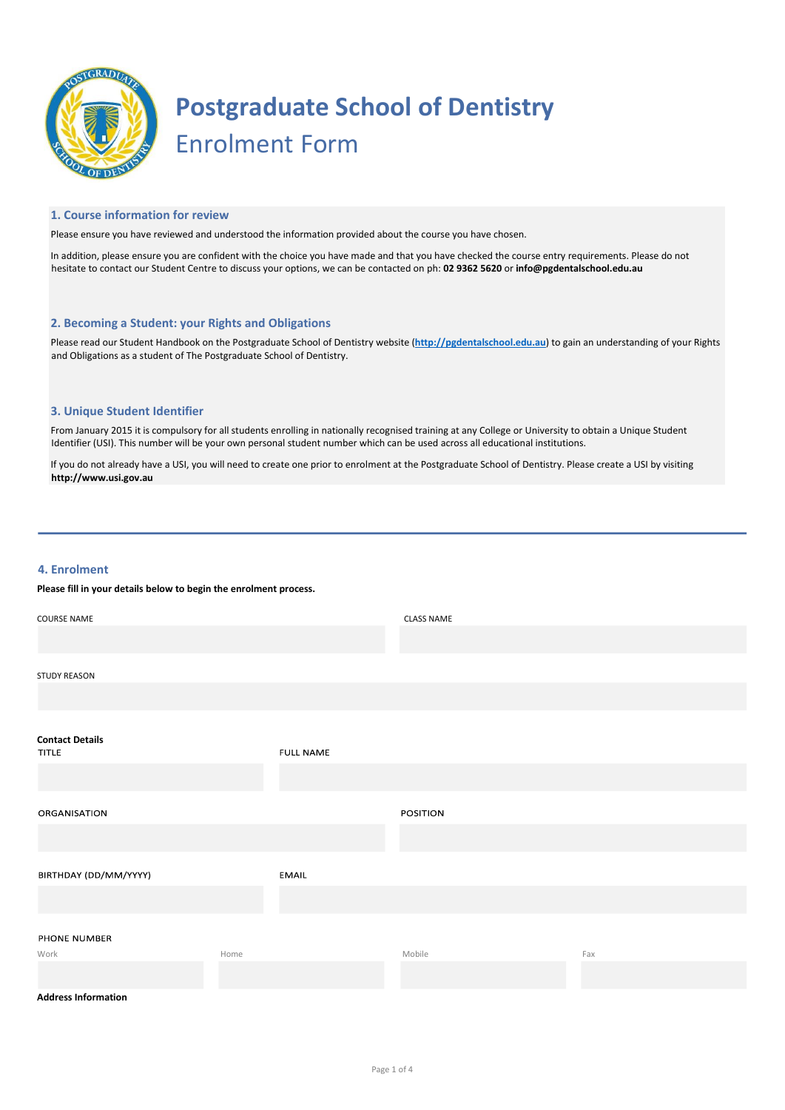

# **Postgraduate School of Dentistry** Enrolment Form

#### **1. Course information for review**

Please ensure you have reviewed and understood the information provided about the course you have chosen.

In addition, please ensure you are confident with the choice you have made and that you have checked the course entry requirements. Please do not hesitate to contact our Student Centre to discuss your options, we can be contacted on ph: **02 9362 5620** or **info@pgdentalschool.edu.au**

#### **2. Becoming a Student: your Rights and Obligations**

Please read our Student Handbook on the Postgraduate School of Dentistry websit[e](http://penncollege.edu.au/wp-content/uploads/2015/09/PennCollege_StudentHandbook_2015.pdf) (**[http://pgdentalschool.edu.au](http://penncollege.edu.au/wp-content/uploads/2015/09/PennCollege_StudentHandbook_2015.pdf)**[\) t](http://penncollege.edu.au/wp-content/uploads/2015/09/PennCollege_StudentHandbook_2015.pdf)o gain an understanding of your Rights and Obligations as a student of The Postgraduate School of Dentistry.

#### **3. Unique Student Identifier**

From January 2015 it is compulsory for all students enrolling in nationally recognised training at any College or University to obtain a Unique Student Identifier (USI). This number will be your own personal student number which can be used across all educational institutions.

If you do not already have a USI, you will need to create one prior to enrolment at the Postgraduate School of Dentistry. Please create a USI by visiting **[http://www.usi.gov.au](http://www.usi.gov.au/)**

#### **4. Enrolment**

### **Please fill in your details below to begin the enrolment process.**

| <b>COURSE NAME</b>     |      |                  | <b>CLASS NAME</b> |     |
|------------------------|------|------------------|-------------------|-----|
|                        |      |                  |                   |     |
| <b>STUDY REASON</b>    |      |                  |                   |     |
|                        |      |                  |                   |     |
| <b>Contact Details</b> |      |                  |                   |     |
| <b>TITLE</b>           |      | <b>FULL NAME</b> |                   |     |
|                        |      |                  |                   |     |
| ORGANISATION           |      |                  | POSITION          |     |
|                        |      |                  |                   |     |
| BIRTHDAY (DD/MM/YYYY)  |      | EMAIL            |                   |     |
|                        |      |                  |                   |     |
| PHONE NUMBER           |      |                  |                   |     |
| Work                   | Home |                  | Mobile            | Fax |
|                        |      |                  |                   |     |

#### **Address Information**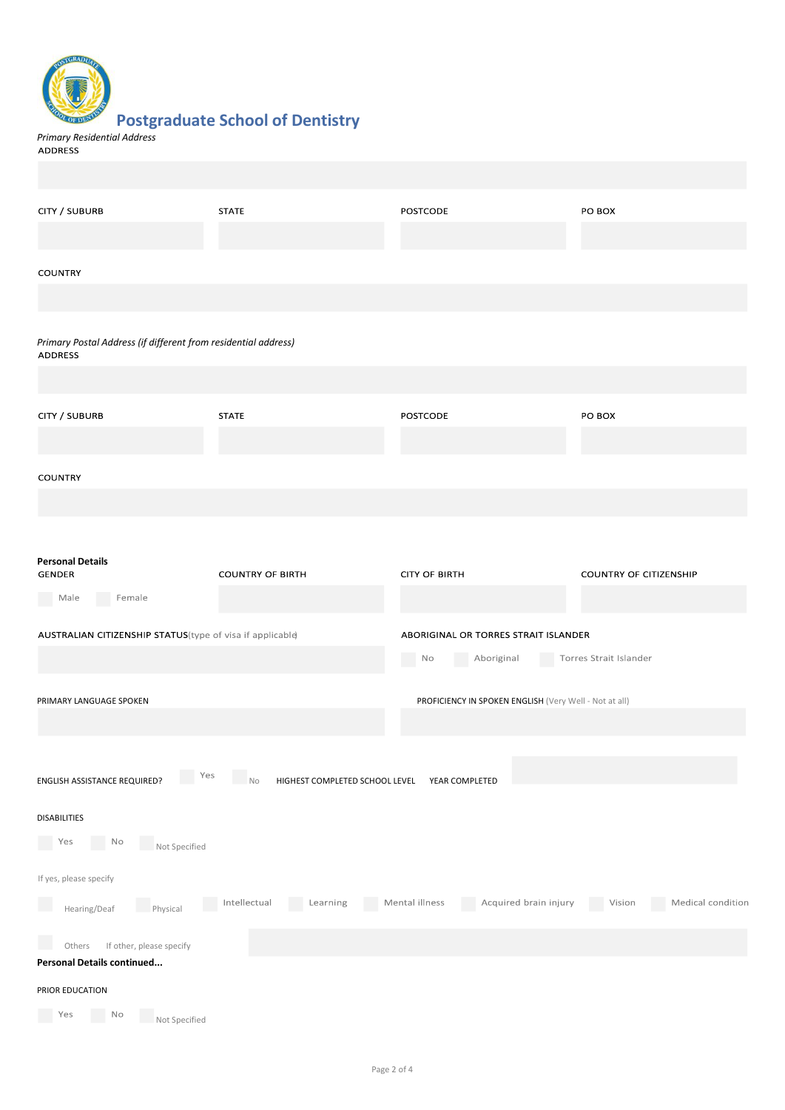### **Postgraduate School of Dentistry**

*Primary Residential Address*

| CITY / SUBURB                                                                    | <b>STATE</b>                          | <b>POSTCODE</b>                                        | PO BOX                        |
|----------------------------------------------------------------------------------|---------------------------------------|--------------------------------------------------------|-------------------------------|
| <b>COUNTRY</b>                                                                   |                                       |                                                        |                               |
| Primary Postal Address (if different from residential address)<br><b>ADDRESS</b> |                                       |                                                        |                               |
|                                                                                  |                                       |                                                        |                               |
| CITY / SUBURB                                                                    | <b>STATE</b>                          | <b>POSTCODE</b>                                        | PO BOX                        |
| <b>COUNTRY</b>                                                                   |                                       |                                                        |                               |
|                                                                                  |                                       |                                                        |                               |
| <b>Personal Details</b><br>GENDER<br>Male Female                                 | <b>COUNTRY OF BIRTH</b>               | <b>CITY OF BIRTH</b>                                   | <b>COUNTRY OF CITIZENSHIP</b> |
| AUSTRALIAN CITIZENSHIP STATUS(type of visa if applicable)                        |                                       | ABORIGINAL OR TORRES STRAIT ISLANDER                   |                               |
|                                                                                  |                                       | N <sub>O</sub><br>Aboriginal                           | Torres Strait Islander        |
| PRIMARY LANGUAGE SPOKEN                                                          |                                       | PROFICIENCY IN SPOKEN ENGLISH (Very Well - Not at all) |                               |
| Yes<br>ENGLISH ASSISTANCE REQUIRED?                                              | HIGHEST COMPLETED SCHOOL LEVEL<br>No. | YEAR COMPLETED                                         |                               |
| DISABILITIES                                                                     |                                       |                                                        |                               |
| N <sub>O</sub><br>Yes<br>Not Specified                                           |                                       |                                                        |                               |
| If yes, please specify                                                           |                                       |                                                        |                               |
| Physical<br>Hearing/Deaf                                                         | Intellectual<br>Learning<br>e e       | Acquired brain injury<br>Mental illness<br>r.          | Medical condition<br>Vision   |
| If other, please specify<br>Others<br>Personal Details continued                 |                                       |                                                        |                               |
| PRIOR EDUCATION                                                                  |                                       |                                                        |                               |
| No<br>Yes<br>Not Specified                                                       |                                       |                                                        |                               |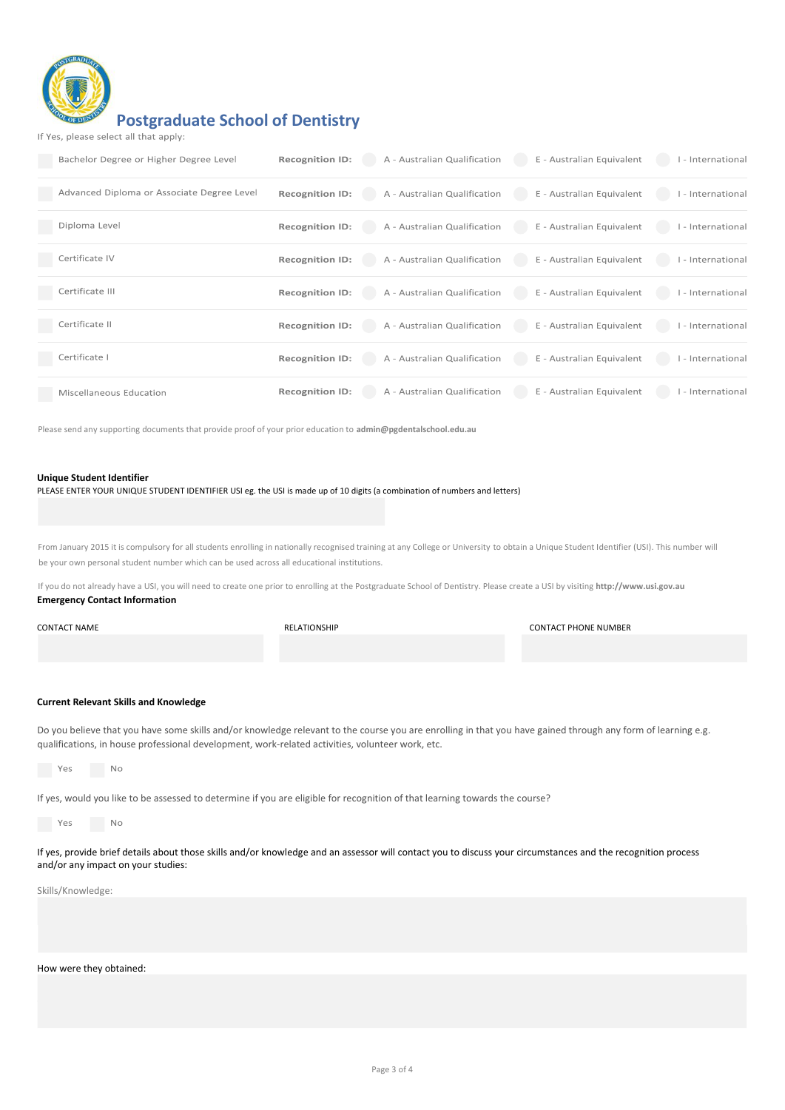

## **Postgraduate School of Dentistry**

| If Yes, please select all that apply: |  |  |  |
|---------------------------------------|--|--|--|
|---------------------------------------|--|--|--|

| Bachelor Degree or Higher Degree Level     | <b>Recognition ID:</b> | A - Australian Qualification | E - Australian Equivalent | I - International |
|--------------------------------------------|------------------------|------------------------------|---------------------------|-------------------|
| Advanced Diploma or Associate Degree Level | <b>Recognition ID:</b> | A - Australian Qualification | E - Australian Equivalent | I - International |
| Diploma Level                              | <b>Recognition ID:</b> | A - Australian Qualification | E - Australian Equivalent | I - International |
| Certificate IV                             | <b>Recognition ID:</b> | A - Australian Qualification | E - Australian Equivalent | I - International |
| Certificate III                            | <b>Recognition ID:</b> | A - Australian Qualification | E - Australian Equivalent | I - International |
| Certificate II                             | <b>Recognition ID:</b> | A - Australian Qualification | E - Australian Equivalent | I - International |
| Certificate I                              | <b>Recognition ID:</b> | A - Australian Qualification | E - Australian Equivalent | I - International |
| Miscellaneous Education                    | <b>Recognition ID:</b> | A - Australian Qualification | E - Australian Equivalent | I - International |

Please send any supporting documents that provide proof of your prior education to **admin@pgdentalschool.edu.au**

#### **Unique Student Identifier**

| PLEASE ENTER YOUR UNIQUE STUDENT IDENTIFIER USI eg. the USI is made up of 10 digits (a combination of numbers and letters) |  |  |  |
|----------------------------------------------------------------------------------------------------------------------------|--|--|--|
|----------------------------------------------------------------------------------------------------------------------------|--|--|--|

From January 2015 it is compulsory for all students enrolling in nationally recognised training at any College or University to obtain a Unique Student Identifier (USI). This number will be your own personal student number which can be used across all educational institutions.

If you do not already have a USI, you will need to create one prior to enrolling at the Postgraduate School of Dentistry. Please create a USI by visiting **http://www.usi.gov.au Emergency Contact Information**

| <b>CONTACT NAME</b> | RELATIONSHIP | <b>CONTACT PHONE NUMBER</b> |
|---------------------|--------------|-----------------------------|
|                     |              |                             |
|                     |              |                             |

#### **Current Relevant Skills and Knowledge**

Do you believe that you have some skills and/or knowledge relevant to the course you are enrolling in that you have gained through any form of learning e.g. qualifications, in house professional development, work-related activities, volunteer work, etc.

 $N<sub>O</sub>$ Yes

If yes, would you like to be assessed to determine if you are eligible for recognition of that learning towards the course?

 $N<sub>O</sub>$ Yes

If yes, provide brief details about those skills and/or knowledge and an assessor will contact you to discuss your circumstances and the recognition process and/or any impact on your studies:

Skills/Knowledge:

#### How were they obtained: